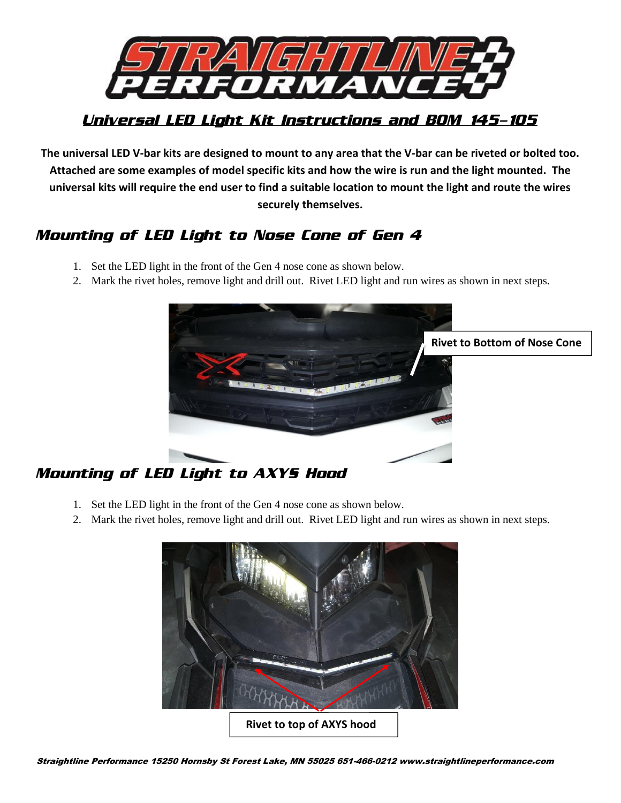

### *Universal LED Light Kit Instructions and BOM 145-105*

**The universal LED V-bar kits are designed to mount to any area that the V-bar can be riveted or bolted too. Attached are some examples of model specific kits and how the wire is run and the light mounted. The universal kits will require the end user to find a suitable location to mount the light and route the wires securely themselves.**

## *Mounting of LED Light to Nose Cone of Gen 4*

- 1. Set the LED light in the front of the Gen 4 nose cone as shown below.
- 2. Mark the rivet holes, remove light and drill out. Rivet LED light and run wires as shown in next steps.



# *Mounting of LED Light to AXYS Hood*

- 1. Set the LED light in the front of the Gen 4 nose cone as shown below.
- 2. Mark the rivet holes, remove light and drill out. Rivet LED light and run wires as shown in next steps.

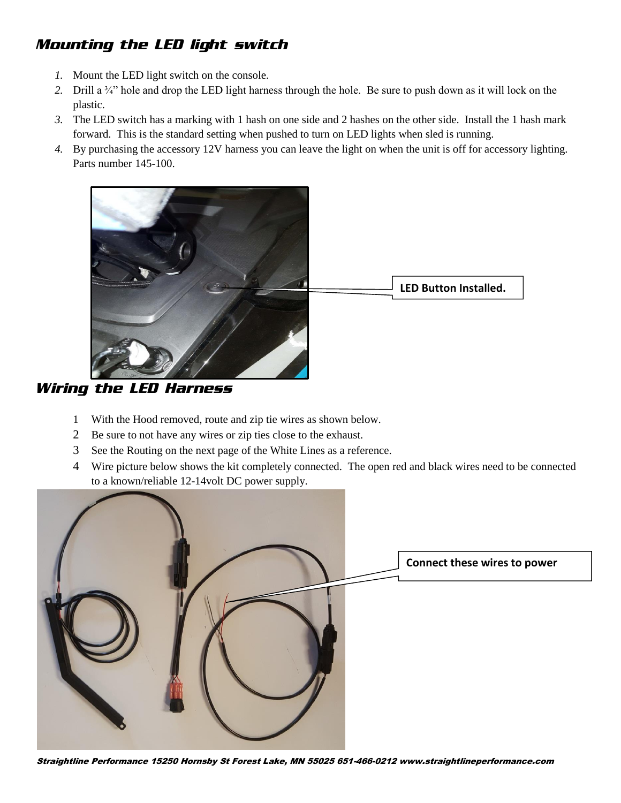## *Mounting the LED light switch*

- *1.* Mount the LED light switch on the console.
- *2.* Drill a ¾" hole and drop the LED light harness through the hole. Be sure to push down as it will lock on the plastic.
- *3.* The LED switch has a marking with 1 hash on one side and 2 hashes on the other side. Install the 1 hash mark forward. This is the standard setting when pushed to turn on LED lights when sled is running.
- *4.* By purchasing the accessory 12V harness you can leave the light on when the unit is off for accessory lighting. Parts number 145-100.



*Wiring the LED Harness*

- 1 With the Hood removed, route and zip tie wires as shown below.
- 2 Be sure to not have any wires or zip ties close to the exhaust.
- 3 See the Routing on the next page of the White Lines as a reference.
- 4 Wire picture below shows the kit completely connected. The open red and black wires need to be connected to a known/reliable 12-14volt DC power supply.



Straightline Performance 15250 Hornsby St Forest Lake, MN 55025 651-466-021[2 www.straightlineperformance.com](http://www.straightlineperformance.com/)